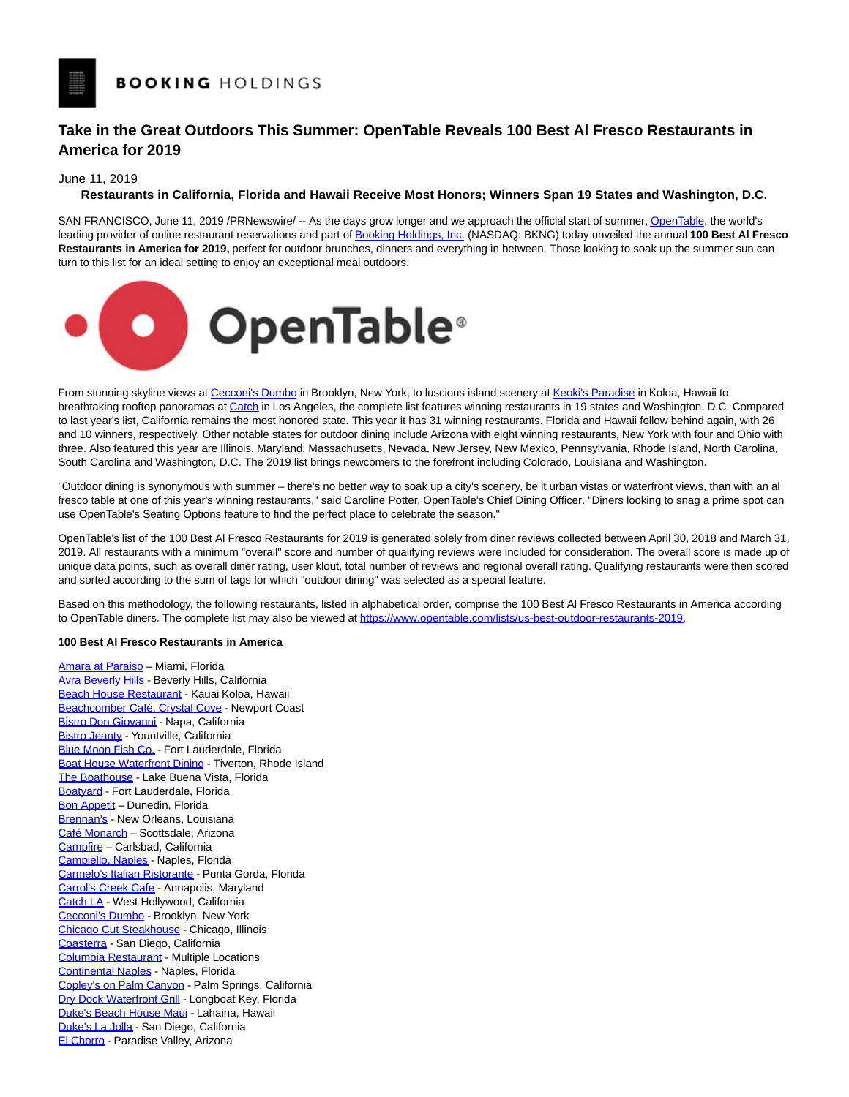# **Take in the Great Outdoors This Summer: OpenTable Reveals 100 Best Al Fresco Restaurants in America for 2019**

## June 11, 2019

## **Restaurants in California, Florida and Hawaii Receive Most Honors; Winners Span 19 States and Washington, D.C.**

SAN FRANCISCO, June 11, 2019 /PRNewswire/ -- As the days grow longer and we approach the official start of summer[, OpenTable,](https://c212.net/c/link/?t=0&l=en&o=2492016-1&h=2993794839&u=http%3A%2F%2Fwww.opentable.com%2F&a=OpenTable) the world's leading provider of online restaurant reservations and part o[f Booking Holdings, Inc.](https://c212.net/c/link/?t=0&l=en&o=2492016-1&h=2574598958&u=https%3A%2F%2Fwww.bookingholdings.com%2F&a=Booking+Holdings%2C+Inc) [\(](https://c212.net/c/link/?t=0&l=en&o=2492016-1&h=3230532923&u=https%3A%2F%2Fwww.bookingholdings.com%2F&a=.)NASDAQ: BKNG) today unveiled the annual **100 Best Al Fresco Restaurants in America for 2019,** perfect for outdoor brunches, dinners and everything in between. Those looking to soak up the summer sun can turn to this list for an ideal setting to enjoy an exceptional meal outdoors.



From stunning skyline views a[t Cecconi's Dumbo i](https://c212.net/c/link/?t=0&l=en&o=2492016-1&h=2350216492&u=https%3A%2F%2Fwww.opentable.com%2Fr%2Fcecconis-dumbo-brooklyn&a=Cecconi%27s+Dumbo)n Brooklyn, New York, to luscious island scenery at [Keoki's Paradise i](https://c212.net/c/link/?t=0&l=en&o=2492016-1&h=332864180&u=https%3A%2F%2Fwww.opentable.com%2Fkeokis-paradise&a=Keoki%27s+Paradise)n Koloa, Hawaii to breathtaking rooftop panoramas at [Catch i](https://c212.net/c/link/?t=0&l=en&o=2492016-1&h=3874332355&u=https%3A%2F%2Fwww.opentable.com%2Fr%2Fcatch-la-west-hollywood%3Fpage%3D1&a=Catch)n Los Angeles, the complete list features winning restaurants in 19 states and Washington, D.C. Compared to last year's list, California remains the most honored state. This year it has 31 winning restaurants. Florida and Hawaii follow behind again, with 26 and 10 winners, respectively. Other notable states for outdoor dining include Arizona with eight winning restaurants, New York with four and Ohio with three. Also featured this year are Illinois, Maryland, Massachusetts, Nevada, New Jersey, New Mexico, Pennsylvania, Rhode Island, North Carolina, South Carolina and Washington, D.C. The 2019 list brings newcomers to the forefront including Colorado, Louisiana and Washington.

"Outdoor dining is synonymous with summer – there's no better way to soak up a city's scenery, be it urban vistas or waterfront views, than with an al fresco table at one of this year's winning restaurants," said Caroline Potter, OpenTable's Chief Dining Officer. "Diners looking to snag a prime spot can use OpenTable's Seating Options feature to find the perfect place to celebrate the season."

OpenTable's list of the 100 Best Al Fresco Restaurants for 2019 is generated solely from diner reviews collected between April 30, 2018 and March 31, 2019. All restaurants with a minimum "overall" score and number of qualifying reviews were included for consideration. The overall score is made up of unique data points, such as overall diner rating, user klout, total number of reviews and regional overall rating. Qualifying restaurants were then scored and sorted according to the sum of tags for which "outdoor dining" was selected as a special feature.

Based on this methodology, the following restaurants, listed in alphabetical order, comprise the 100 Best Al Fresco Restaurants in America according to OpenTable diners. The complete list may also be viewed at [https://www.opentable.com/lists/us-best-outdoor-restaurants-2019.](https://c212.net/c/link/?t=0&l=en&o=2492016-1&h=1861820675&u=https%3A%2F%2Fwww.opentable.com%2Flists%2Fus-best-outdoor-restaurants-2019&a=https%3A%2F%2Fwww.opentable.com%2Flists%2Fus-best-outdoor-restaurants-2019)

#### **100 Best Al Fresco Restaurants in America**

[Amara at Paraiso –](https://c212.net/c/link/?t=0&l=en&o=2492016-1&h=2713677617&u=https%3A%2F%2Fwww.opentable.com%2Fr%2Famara-at-paraiso-miami-2&a=Amara+at+Paraiso) Miami, Florida [Avra Beverly Hills -](https://c212.net/c/link/?t=0&l=en&o=2492016-1&h=3685984079&u=https%3A%2F%2Fwww.opentable.com%2Fr%2Favra-beverly-hills&a=Avra+Beverly+Hills) Beverly Hills, California [Beach House Restaurant -](https://c212.net/c/link/?t=0&l=en&o=2492016-1&h=3048154368&u=https%3A%2F%2Fwww.opentable.com%2Fr%2Fbeach-house-restaurant-kauai-koloa-2&a=Beach+House+Restaurant) Kauai Koloa, Hawaii [Beachcomber Café, Crystal Cove -](https://c212.net/c/link/?t=0&l=en&o=2492016-1&h=2712221439&u=https%3A%2F%2Fwww.opentable.com%2Fbeachcomber-cafe-crystal-cove&a=Beachcomber+Caf%C3%A9%2C+Crystal+Cove) Newport Coast [Bistro Don Giovanni -](https://c212.net/c/link/?t=0&l=en&o=2492016-1&h=392006850&u=https%3A%2F%2Fwww.opentable.com%2Fbistro-don-giovanni-napa%3Fpage%3D1&a=Bistro+Don+Giovanni) Napa, California [Bistro Jeanty -](https://c212.net/c/link/?t=0&l=en&o=2492016-1&h=64553582&u=https%3A%2F%2Fwww.opentable.com%2Fr%2Fbistro-jeanty-yountville&a=Bistro+Jeanty) Yountville, California [Blue Moon Fish Co. -](https://c212.net/c/link/?t=0&l=en&o=2492016-1&h=2817221187&u=https%3A%2F%2Fwww.opentable.com%2Fr%2Fblue-moon-fish-co-fort-lauderdale%3Fpage%3D1&a=Blue+Moon+Fish+Co.) Fort Lauderdale, Florida [Boat House Waterfront Dining -](https://c212.net/c/link/?t=0&l=en&o=2492016-1&h=2756869423&u=https%3A%2F%2Fwww.opentable.com%2Fboat-house-waterfront-dining%3Fpage%3D1&a=Boat+House+Waterfront+Dining) Tiverton, Rhode Island [The Boathouse -](https://c212.net/c/link/?t=0&l=en&o=2492016-1&h=2423402723&u=https%3A%2F%2Fwww.opentable.com%2Fthe-boathouse-lake-buena-vista&a=The+Boathouse) Lake Buena Vista, Florida [Boatyard -](https://c212.net/c/link/?t=0&l=en&o=2492016-1&h=3882073607&u=https%3A%2F%2Fwww.opentable.com%2Fboatyard%3Fpage%3D15%26ref%3D15181%26sp%3Dppc_g_US_nontm%26reengagement%3D1%26publisher_id%3D169194%26my_campaign%3DKenshoo1%26ref_id%3D9a29086c-e4f6-4174-8323-19bb18d87732%26device%3D%26interestlocation%3D9060435%26physicallocation%3D9031949%26siteplacement%3D%26adposition%3D1t1%26campaignid%3D216392688%26adgroupid%3D14753230848%26SP%3Dppc_g_us_nontm%26LS%3DGGLPPC%26MID%3DUSNonTM%26gclid%3DCjwKCAjw0ujYBRBDEiwAn7BKt5UJLrMM9mW8cfNENGuMi-IrTBcxyud3ZnpGGT9sWUvkALOaRaPP8hoCp1IQAvD_BwE&a=Boatyard) Fort Lauderdale, Florida [Bon Appetit –](https://c212.net/c/link/?t=0&l=en&o=2492016-1&h=1917169599&u=https%3A%2F%2Fwww.opentable.com%2Fbon-appetit&a=Bon+Appetit) Dunedin, Florida [Brennan's -](https://c212.net/c/link/?t=0&l=en&o=2492016-1&h=104880768&u=https%3A%2F%2Fwww.opentable.com%2Fbrennans&a=Brennan%27s) New Orleans, Louisiana Café Monarch - Scottsdale, Arizona [Campfire –](https://c212.net/c/link/?t=0&l=en&o=2492016-1&h=2433654393&u=https%3A%2F%2Fwww.opentable.com%2Fr%2Fcampfire-carlsbad&a=Campfire) Carlsbad, California [Campiello, Naples -](https://c212.net/c/link/?t=0&l=en&o=2492016-1&h=3868932571&u=https%3A%2F%2Fwww.opentable.com%2Fcampiello-naples&a=Campiello%2C+Naples) Naples, Florida [Carmelo's Italian Ristorante -](https://c212.net/c/link/?t=0&l=en&o=2492016-1&h=2818448236&u=https%3A%2F%2Fwww.opentable.com%2Fr%2Fcarmelos-italian-ristorante-punta-gorda&a=Carmelo%27s+Italian+Ristorante) Punta Gorda, Florida [Carrol's Creek Cafe -](https://c212.net/c/link/?t=0&l=en&o=2492016-1&h=1396464086&u=https%3A%2F%2Fwww.opentable.com%2Fcarrols-creek-cafe&a=Carrol%27s+Creek+Cafe) Annapolis, Maryland [Catch LA -](https://c212.net/c/link/?t=0&l=en&o=2492016-1&h=3098218335&u=https%3A%2F%2Fwww.opentable.com%2Fr%2Fcatch-la-west-hollywood&a=Catch+LA) West Hollywood, California [Cecconi's Dumbo -](https://c212.net/c/link/?t=0&l=en&o=2492016-1&h=2350216492&u=https%3A%2F%2Fwww.opentable.com%2Fr%2Fcecconis-dumbo-brooklyn&a=Cecconi%27s+Dumbo) Brooklyn, New York [Chicago Cut Steakhouse -](https://c212.net/c/link/?t=0&l=en&o=2492016-1&h=3834427519&u=https%3A%2F%2Fwww.opentable.com%2Fchicago-cut-steakhouse&a=Chicago+Cut+Steakhouse) Chicago, Illinois [Coasterra -](https://c212.net/c/link/?t=0&l=en&o=2492016-1&h=2033628280&u=https%3A%2F%2Fwww.opentable.com%2Fcoasterra&a=Coasterra) San Diego, California [Columbia Restaurant -](https://c212.net/c/link/?t=0&l=en&o=2492016-1&h=2807849296&u=https%3A%2F%2Fwww.opentable.com%2Flists%2Fus-best-outdoor-restaurants-2019&a=Columbia+Restaurant) Multiple Locations [Continental Naples -](https://c212.net/c/link/?t=0&l=en&o=2492016-1&h=2746965846&u=https%3A%2F%2Fwww.opentable.com%2Fcontinental-naples&a=Continental+Naples) Naples, Florida [Copley's on Palm Canyon -](https://c212.net/c/link/?t=0&l=en&o=2492016-1&h=2786830949&u=https%3A%2F%2Fwww.opentable.com%2Fcopleys-on-palm-canyon&a=Copley%27s+on+Palm+Canyon) Palm Springs, California [Dry Dock Waterfront Grill -](https://c212.net/c/link/?t=0&l=en&o=2492016-1&h=407477459&u=https%3A%2F%2Fwww.opentable.com%2Fr%2Fdrydock-waterfront-grill-longboat-key&a=Dry+Dock+Waterfront+Grill) Longboat Key, Florida [Duke's Beach House Maui -](https://c212.net/c/link/?t=0&l=en&o=2492016-1&h=889469062&u=https%3A%2F%2Fwww.opentable.com%2Fdukes-beach-house-maui&a=Duke%27s+Beach+House+Maui) Lahaina, Hawaii [Duke's La Jolla -](https://c212.net/c/link/?t=0&l=en&o=2492016-1&h=2705106698&u=https%3A%2F%2Fwww.opentable.com%2Fdukes-la-jolla&a=Duke%27s+La+Jolla) San Diego, California [El Chorro -](https://c212.net/c/link/?t=0&l=en&o=2492016-1&h=3537089692&u=https%3A%2F%2Fwww.opentable.com%2Fr%2Fel-chorro-paradise-valley&a=El+Chorro) Paradise Valley, Arizona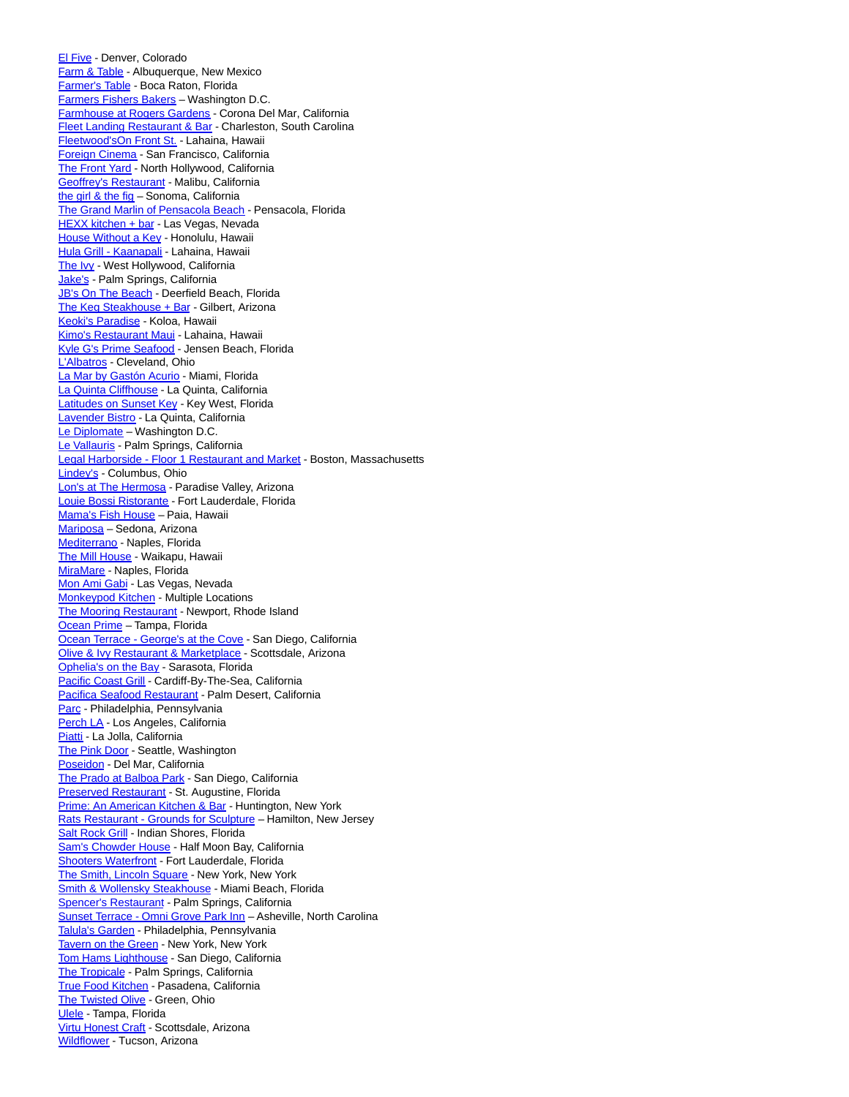[El Five -](https://c212.net/c/link/?t=0&l=en&o=2492016-1&h=2249813010&u=https%3A%2F%2Fwww.opentable.com%2Fr%2Fel-five-denver&a=El+Five) Denver, Colorado [Farm & Table -](https://c212.net/c/link/?t=0&l=en&o=2492016-1&h=2125935910&u=https%3A%2F%2Fwww.opentable.com%2Ffarm-and-table&a=Farm+%26+Table) Albuquerque, New Mexico [Farmer's Table -](https://c212.net/c/link/?t=0&l=en&o=2492016-1&h=1177913456&u=https%3A%2F%2Fwww.opentable.com%2Ffarmers-table-reservations-boca-raton&a=Farmer%27s+Table) Boca Raton, Florida [Farmers Fishers Bakers –](https://c212.net/c/link/?t=0&l=en&o=2492016-1&h=2557872296&u=https%3A%2F%2Fwww.opentable.com%2Fr%2Ffarmers-fishers-bakers-washington&a=Farmers+Fishers+Bakers) Washington D.C. [Farmhouse at Rogers Gardens -](https://c212.net/c/link/?t=0&l=en&o=2492016-1&h=2483115853&u=https%3A%2F%2Fwww.opentable.com%2Fr%2Ffarmhouse-at-rogers-gardens-corona-del-mar&a=Farmhouse+at+Rogers+Gardens) Corona Del Mar, California [Fleet Landing Restaurant & Bar -](https://c212.net/c/link/?t=0&l=en&o=2492016-1&h=3637511324&u=https%3A%2F%2Fwww.opentable.com%2Ffleet-landing-restaurant-and-bar&a=Fleet+Landing+Restaurant+%26+Bar) Charleston, South Carolina **Fleetwood'sOn Front St.** - Lahaina, Hawaii [Foreign Cinema -](https://c212.net/c/link/?t=0&l=en&o=2492016-1&h=2352562723&u=https%3A%2F%2Fwww.opentable.com%2Fr%2Fforeign-cinema-san-francisco&a=Foreign+Cinema) San Francisco, California [The Front Yard -](https://c212.net/c/link/?t=0&l=en&o=2492016-1&h=2784675530&u=https%3A%2F%2Fwww.opentable.com%2Fthe-front-yard&a=The+Front+Yard) North Hollywood, California [Geoffrey's Restaurant -](https://c212.net/c/link/?t=0&l=en&o=2492016-1&h=1634956642&u=https%3A%2F%2Fwww.opentable.com%2Fgeoffreys-restaurant&a=Geoffrey%27s+Restaurant) Malibu, California the girl & the fig - Sonoma, California [The Grand Marlin of Pensacola Beach -](https://c212.net/c/link/?t=0&l=en&o=2492016-1&h=1182679073&u=https%3A%2F%2Fwww.opentable.com%2Fthe-grand-marlin&a=The+Grand+Marlin+of+Pensacola+Beach) Pensacola, Florida [HEXX kitchen + bar -](https://c212.net/c/link/?t=0&l=en&o=2492016-1&h=1337771442&u=https%3A%2F%2Fwww.opentable.com%2Fr%2Fhexx-kitchen-and-bar-las-vegas&a=HEXX+kitchen+%2B+bar) Las Vegas, Nevada [House Without a Key -](https://c212.net/c/link/?t=0&l=en&o=2492016-1&h=1797131928&u=https%3A%2F%2Fwww.opentable.com%2Fr%2Fhouse-without-a-key-honolulu&a=House+Without+a+Key) Honolulu, Hawaii [Hula Grill - Kaanapali -](https://c212.net/c/link/?t=0&l=en&o=2492016-1&h=1490664877&u=https%3A%2F%2Fwww.opentable.com%2Fhula-grill-kaanapali&a=Hula+Grill+-+Kaanapali) Lahaina, Hawaii [The Ivy -](https://c212.net/c/link/?t=0&l=en&o=2492016-1&h=2591687241&u=https%3A%2F%2Fwww.opentable.com%2Fr%2Fthe-ivy-west-hollywood&a=The+Ivy) West Hollywood, California [Jake's -](https://c212.net/c/link/?t=0&l=en&o=2492016-1&h=2158313672&u=https%3A%2F%2Fwww.opentable.com%2Fjakes-palm-springs&a=Jake%27s) Palm Springs, California [JB's On The Beach -](https://c212.net/c/link/?t=0&l=en&o=2492016-1&h=1314582982&u=https%3A%2F%2Fwww.opentable.com%2Fjbs-on-the-beach&a=JB%27s+On+The+Beach) Deerfield Beach, Florida [The Keg Steakhouse + Bar -](https://c212.net/c/link/?t=0&l=en&o=2492016-1&h=1885235875&u=https%3A%2F%2Fwww.opentable.com%2Fthe-keg-steakhouse-and-bar-gilbert&a=The+Keg+Steakhouse+%2B+Bar) Gilbert, Arizona [Keoki's Paradise -](https://c212.net/c/link/?t=0&l=en&o=2492016-1&h=332864180&u=https%3A%2F%2Fwww.opentable.com%2Fkeokis-paradise&a=Keoki%27s+Paradise) Koloa, Hawaii [Kimo's Restaurant Maui -](https://c212.net/c/link/?t=0&l=en&o=2492016-1&h=3856484080&u=https%3A%2F%2Fwww.opentable.com%2Fkimos-restaurant-maui&a=Kimo%27s+Restaurant+Maui) Lahaina, Hawaii [Kyle G's Prime Seafood -](https://c212.net/c/link/?t=0&l=en&o=2492016-1&h=3059010298&u=https%3A%2F%2Fwww.opentable.com%2Fr%2Fkyle-gs-prime-seafood-jensen-beach&a=Kyle+G%27s+Prime+Seafood) Jensen Beach, Florida [L'Albatros -](https://c212.net/c/link/?t=0&l=en&o=2492016-1&h=1025878888&u=https%3A%2F%2Fwww.opentable.com%2Fr%2Flalbatros-cleveland&a=L%27Albatros) Cleveland, Ohio [La Mar by Gastón Acurio -](https://c212.net/c/link/?t=0&l=en&o=2492016-1&h=2234957927&u=https%3A%2F%2Fwww.opentable.com%2Fla-mar-by-gaston-acurio&a=La+Mar+by+Gast%C3%B3n+Acurio) Miami, Florida [La Quinta Cliffhouse -](https://c212.net/c/link/?t=0&l=en&o=2492016-1&h=1465878300&u=https%3A%2F%2Fwww.opentable.com%2Fr%2Fla-quinta-cliffhouse-la-quinta&a=La+Quinta+Cliffhouse) La Quinta, California [Latitudes on Sunset Key -](https://c212.net/c/link/?t=0&l=en&o=2492016-1&h=2654693858&u=https%3A%2F%2Fwww.opentable.com%2Fr%2Flatitudes-on-sunset-key-key-west&a=Latitudes+on+Sunset+Key) Key West, Florida [Lavender Bistro -](https://c212.net/c/link/?t=0&l=en&o=2492016-1&h=79077304&u=https%3A%2F%2Fwww.opentable.com%2Fr%2Flavender-bistro-la-quinta&a=Lavender+Bistro) La Quinta, California [Le Diplomate –](https://c212.net/c/link/?t=0&l=en&o=2492016-1&h=3476740458&u=https%3A%2F%2Fwww.opentable.com%2Fle-diplomate&a=Le+Diplomate) Washington D.C. [Le Vallauris -](https://c212.net/c/link/?t=0&l=en&o=2492016-1&h=1717575295&u=https%3A%2F%2Fwww.opentable.com%2Fle-vallauris&a=Le+Vallauris) Palm Springs, California [Legal Harborside - Floor 1 Restaurant and Market -](https://c212.net/c/link/?t=0&l=en&o=2492016-1&h=1363089368&u=https%3A%2F%2Fwww.opentable.com%2Fr%2Flegal-harborside-floor-1-restaurant-and-market-boston&a=Legal+Harborside+-+Floor+1+Restaurant+and+Market) Boston, Massachusetts [Lindey's -](https://c212.net/c/link/?t=0&l=en&o=2492016-1&h=2067369657&u=https%3A%2F%2Fwww.opentable.com%2Flindeys&a=Lindey%27s) Columbus, Ohio [Lon's at The Hermosa -](https://c212.net/c/link/?t=0&l=en&o=2492016-1&h=1596799863&u=https%3A%2F%2Fwww.opentable.com%2Flons-at-the-hermosa&a=Lon%27s+at+The+Hermosa) Paradise Valley, Arizona [Louie Bossi Ristorante -](https://c212.net/c/link/?t=0&l=en&o=2492016-1&h=2279551833&u=https%3A%2F%2Fwww.opentable.com%2Fr%2Flouie-bossis-ristorante-fort-lauderdale&a=Louie+Bossi+Ristorante) Fort Lauderdale, Florida [Mama's Fish House –](https://c212.net/c/link/?t=0&l=en&o=2492016-1&h=3710265436&u=https%3A%2F%2Fwww.opentable.com%2Fmamas-fish-house&a=Mama%27s+Fish+House) Paia, Hawaii Mariposa - Sedona, Arizona [Mediterrano -](https://c212.net/c/link/?t=0&l=en&o=2492016-1&h=1686319591&u=https%3A%2F%2Fwww.opentable.com%2Fmediterrano-naples&a=Mediterrano) Naples, Florida [The Mill House -](https://c212.net/c/link/?t=0&l=en&o=2492016-1&h=4193801662&u=https%3A%2F%2Fwww.opentable.com%2Fthe-mill-house&a=The+Mill+House) Waikapu, Hawaii [MiraMare -](https://c212.net/c/link/?t=0&l=en&o=2492016-1&h=1280229992&u=https%3A%2F%2Fwww.opentable.com%2Fmiramare&a=MiraMare) Naples, Florida [Mon Ami Gabi -](https://c212.net/c/link/?t=0&l=en&o=2492016-1&h=3273087919&u=https%3A%2F%2Fwww.opentable.com%2Fmon-ami-gabi-las-vegas-main-dining-room&a=Mon+Ami+Gabi) Las Vegas, Nevada [Monkeypod Kitchen -](https://c212.net/c/link/?t=0&l=en&o=2492016-1&h=547083141&u=https%3A%2F%2Fwww.opentable.com%2Flists%2Fus-best-outdoor-restaurants-2019&a=Monkeypod+Kitchen) Multiple Locations [The Mooring Restaurant -](https://c212.net/c/link/?t=0&l=en&o=2492016-1&h=2864553078&u=https%3A%2F%2Fwww.opentable.com%2Fthe-mooring-restaurant&a=The+Mooring+Restaurant) Newport, Rhode Island [Ocean Prime –](https://c212.net/c/link/?t=0&l=en&o=2492016-1&h=2672036848&u=https%3A%2F%2Fwww.opentable.com%2Focean-prime-tampa&a=Ocean+Prime) Tampa, Florida [Ocean Terrace - George's at the Cove -](https://c212.net/c/link/?t=0&l=en&o=2492016-1&h=2444267960&u=https%3A%2F%2Fwww.opentable.com%2Fr%2Focean-terrace-georges-at-the-cove-san-diego&a=Ocean+Terrace+-+George%27s+at+the+Cove) San Diego, California [Olive & Ivy Restaurant & Marketplace -](https://c212.net/c/link/?t=0&l=en&o=2492016-1&h=2277001407&u=https%3A%2F%2Fwww.opentable.com%2Folive-and-ivy-restaurant-and-marketplace&a=Olive+%26+Ivy+Restaurant+%26+Marketplace) Scottsdale, Arizona [Ophelia's on the Bay -](https://c212.net/c/link/?t=0&l=en&o=2492016-1&h=2756899307&u=https%3A%2F%2Fwww.opentable.com%2Fophelias-on-the-bay&a=Ophelia%27s+on+the+Bay) Sarasota, Florida [Pacific Coast Grill -](https://c212.net/c/link/?t=0&l=en&o=2492016-1&h=416989304&u=https%3A%2F%2Fwww.opentable.com%2Fpacific-coast-grill-cardiff&a=Pacific+Coast+Grill) Cardiff-By-The-Sea, California [Pacifica Seafood Restaurant -](https://c212.net/c/link/?t=0&l=en&o=2492016-1&h=1241019256&u=https%3A%2F%2Fwww.opentable.com%2Fr%2Fpacifica-seafood-restaurant-palm-desert&a=Pacifica+Seafood+Restaurant) Palm Desert, California [Parc -](https://c212.net/c/link/?t=0&l=en&o=2492016-1&h=2995508693&u=https%3A%2F%2Fwww.opentable.com%2Fparc&a=Parc) Philadelphia, Pennsylvania [Perch LA -](https://c212.net/c/link/?t=0&l=en&o=2492016-1&h=2523971227&u=https%3A%2F%2Fwww.opentable.com%2Fperch-la&a=Perch+LA) Los Angeles, California [Piatti -](https://c212.net/c/link/?t=0&l=en&o=2492016-1&h=1227535705&u=https%3A%2F%2Fwww.opentable.com%2Fr%2Fpiatti-la-jolla&a=Piatti) La Jolla, California [The Pink Door -](https://c212.net/c/link/?t=0&l=en&o=2492016-1&h=4014133811&u=https%3A%2F%2Fwww.opentable.com%2Fthe-pink-door&a=The+Pink+Door) Seattle, Washington [Poseidon -](https://c212.net/c/link/?t=0&l=en&o=2492016-1&h=4056545481&u=https%3A%2F%2Fwww.opentable.com%2Fr%2Fposeidon-del-mar&a=Poseidon) Del Mar, California [The Prado at Balboa Park -](https://c212.net/c/link/?t=0&l=en&o=2492016-1&h=397977106&u=https%3A%2F%2Fwww.opentable.com%2Fr%2Fthe-prado-at-balboa-park-san-diego&a=The+Prado+at+Balboa+Park) San Diego, California [Preserved Restaurant -](https://c212.net/c/link/?t=0&l=en&o=2492016-1&h=2221384973&u=https%3A%2F%2Fwww.opentable.com%2Fpreserved-restaurant&a=Preserved+Restaurant) St. Augustine, Florida [Prime: An American Kitchen & Bar -](https://c212.net/c/link/?t=0&l=en&o=2492016-1&h=313590065&u=https%3A%2F%2Fwww.opentable.com%2Fr%2Fprime-an-american-kitchen-and-bar-huntington-ny-huntington&a=Prime%3A+An+American+Kitchen+%26+Bar) Huntington, New York [Rats Restaurant - Grounds for Sculpture –](https://c212.net/c/link/?t=0&l=en&o=2492016-1&h=2262459719&u=https%3A%2F%2Fwww.opentable.com%2Frats-restaurant-grounds-for-sculpture&a=Rats+Restaurant+-+Grounds+for+Sculpture) Hamilton, New Jersey [Salt Rock Grill -](https://c212.net/c/link/?t=0&l=en&o=2492016-1&h=673136969&u=https%3A%2F%2Fwww.opentable.com%2Fr%2Fsalt-rock-grill-indian-shores&a=Salt+Rock+Grill) Indian Shores, Florida [Sam's Chowder House -](https://c212.net/c/link/?t=0&l=en&o=2492016-1&h=1423004292&u=https%3A%2F%2Fwww.opentable.com%2Fr%2Fsams-chowder-house-half-moon-bay&a=Sam%27s+Chowder+House) Half Moon Bay, California [Shooters Waterfront -](https://c212.net/c/link/?t=0&l=en&o=2492016-1&h=3871783350&u=https%3A%2F%2Fwww.opentable.com%2Fshooters-waterfront&a=Shooters+Waterfront) Fort Lauderdale, Florida [The Smith, Lincoln Square -](https://c212.net/c/link/?t=0&l=en&o=2492016-1&h=876610119&u=https%3A%2F%2Fwww.opentable.com%2Fthe-smith-lincoln-square&a=The+Smith%2C+Lincoln+Square) New York, New York [Smith & Wollensky Steakhouse -](https://c212.net/c/link/?t=0&l=en&o=2492016-1&h=1628333657&u=https%3A%2F%2Fwww.opentable.com%2Fr%2Fsmith-and-wollensky-steakhouse-miami-miami-beach&a=Smith+%26+Wollensky+Steakhouse) Miami Beach, Florida [Spencer's Restaurant -](https://c212.net/c/link/?t=0&l=en&o=2492016-1&h=3054399019&u=https%3A%2F%2Fwww.opentable.com%2Fspencers-restaurant&a=Spencer%27s+Restaurant) Palm Springs, California Sunset Terrace - Omni Grove Park Inn - Asheville, North Carolina [Talula's Garden -](https://c212.net/c/link/?t=0&l=en&o=2492016-1&h=3103851307&u=https%3A%2F%2Fwww.opentable.com%2Ftalulas-garden&a=Talula%27s+Garden) Philadelphia, Pennsylvania [Tavern on the Green -](https://c212.net/c/link/?t=0&l=en&o=2492016-1&h=2226851657&u=https%3A%2F%2Fwww.opentable.com%2Ftavern-on-the-green&a=Tavern+on+the+Green) New York, New York [Tom Hams Lighthouse -](https://c212.net/c/link/?t=0&l=en&o=2492016-1&h=2104323785&u=https%3A%2F%2Fwww.opentable.com%2Ftom-hams-lighthouse&a=Tom+Hams+Lighthouse) San Diego, California [The Tropicale -](https://c212.net/c/link/?t=0&l=en&o=2492016-1&h=2150669486&u=https%3A%2F%2Fwww.opentable.com%2Fthe-tropicale&a=The+Tropicale) Palm Springs, California [True Food Kitchen -](https://c212.net/c/link/?t=0&l=en&o=2492016-1&h=2351798558&u=https%3A%2F%2Fwww.opentable.com%2Fr%2Ftrue-food-kitchen-pasadena&a=True+Food+Kitchen) Pasadena, California [The Twisted Olive -](https://c212.net/c/link/?t=0&l=en&o=2492016-1&h=2049598928&u=https%3A%2F%2Fwww.opentable.com%2Fthe-twisted-olive&a=The+Twisted+Olive) Green, Ohio [Ulele -](https://c212.net/c/link/?t=0&l=en&o=2492016-1&h=3932093472&u=https%3A%2F%2Fwww.opentable.com%2Fulele&a=Ulele) Tampa, Florida [Virtu Honest Craft -](https://c212.net/c/link/?t=0&l=en&o=2492016-1&h=2501492887&u=https%3A%2F%2Fwww.opentable.com%2Fvirtu-honest-craft&a=Virtu+Honest+Craft) Scottsdale, Arizona [Wildflower -](https://c212.net/c/link/?t=0&l=en&o=2492016-1&h=3430803589&u=https%3A%2F%2Fwww.opentable.com%2Fwildflower&a=Wildflower) Tucson, Arizona